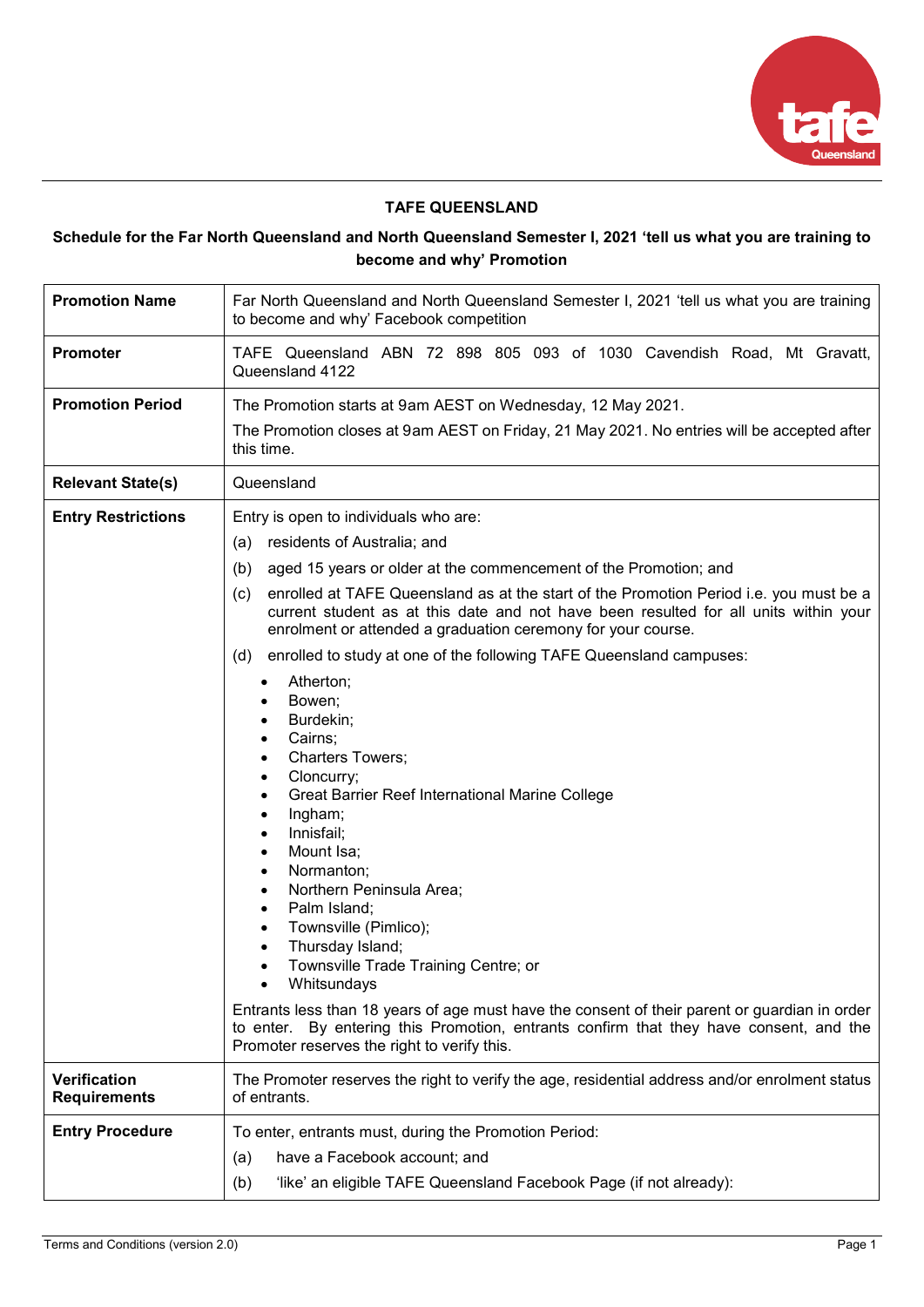

## **TAFE QUEENSLAND**

# **Schedule for the Far North Queensland and North Queensland Semester I, 2021 'tell us what you are training to become and why' Promotion**

| <b>Promotion Name</b>                      | Far North Queensland and North Queensland Semester I, 2021 'tell us what you are training<br>to become and why' Facebook competition                                                                                                                                                                                                                                                                                                                                                                                                                                                                                                                                                                                                                                                                                                                                                                                                                                                                                                                                                                                             |  |  |
|--------------------------------------------|----------------------------------------------------------------------------------------------------------------------------------------------------------------------------------------------------------------------------------------------------------------------------------------------------------------------------------------------------------------------------------------------------------------------------------------------------------------------------------------------------------------------------------------------------------------------------------------------------------------------------------------------------------------------------------------------------------------------------------------------------------------------------------------------------------------------------------------------------------------------------------------------------------------------------------------------------------------------------------------------------------------------------------------------------------------------------------------------------------------------------------|--|--|
| Promoter                                   | TAFE Queensland ABN 72 898 805 093 of 1030 Cavendish Road, Mt Gravatt,<br>Queensland 4122                                                                                                                                                                                                                                                                                                                                                                                                                                                                                                                                                                                                                                                                                                                                                                                                                                                                                                                                                                                                                                        |  |  |
| <b>Promotion Period</b>                    | The Promotion starts at 9am AEST on Wednesday, 12 May 2021.<br>The Promotion closes at 9am AEST on Friday, 21 May 2021. No entries will be accepted after<br>this time.                                                                                                                                                                                                                                                                                                                                                                                                                                                                                                                                                                                                                                                                                                                                                                                                                                                                                                                                                          |  |  |
| <b>Relevant State(s)</b>                   | Queensland                                                                                                                                                                                                                                                                                                                                                                                                                                                                                                                                                                                                                                                                                                                                                                                                                                                                                                                                                                                                                                                                                                                       |  |  |
| <b>Entry Restrictions</b>                  | Entry is open to individuals who are:<br>(a) residents of Australia; and<br>aged 15 years or older at the commencement of the Promotion; and<br>(b)<br>enrolled at TAFE Queensland as at the start of the Promotion Period i.e. you must be a<br>(c)<br>current student as at this date and not have been resulted for all units within your<br>enrolment or attended a graduation ceremony for your course.<br>enrolled to study at one of the following TAFE Queensland campuses:<br>(d)<br>Atherton;<br>Bowen;<br>Burdekin;<br>Cairns;<br><b>Charters Towers;</b><br>$\bullet$<br>Cloncurry;<br>$\bullet$<br>Great Barrier Reef International Marine College<br>Ingham;<br>$\bullet$<br>Innisfail;<br>Mount Isa;<br>Normanton;<br>Northern Peninsula Area;<br>Palm Island;<br>Townsville (Pimlico);<br>٠<br>Thursday Island;<br>Townsville Trade Training Centre; or<br>Whitsundays<br>Entrants less than 18 years of age must have the consent of their parent or guardian in order<br>to enter. By entering this Promotion, entrants confirm that they have consent, and the<br>Promoter reserves the right to verify this. |  |  |
| <b>Verification</b><br><b>Requirements</b> | The Promoter reserves the right to verify the age, residential address and/or enrolment status<br>of entrants.                                                                                                                                                                                                                                                                                                                                                                                                                                                                                                                                                                                                                                                                                                                                                                                                                                                                                                                                                                                                                   |  |  |
| <b>Entry Procedure</b>                     | To enter, entrants must, during the Promotion Period:<br>have a Facebook account; and<br>(a)<br>(b)<br>'like' an eligible TAFE Queensland Facebook Page (if not already):                                                                                                                                                                                                                                                                                                                                                                                                                                                                                                                                                                                                                                                                                                                                                                                                                                                                                                                                                        |  |  |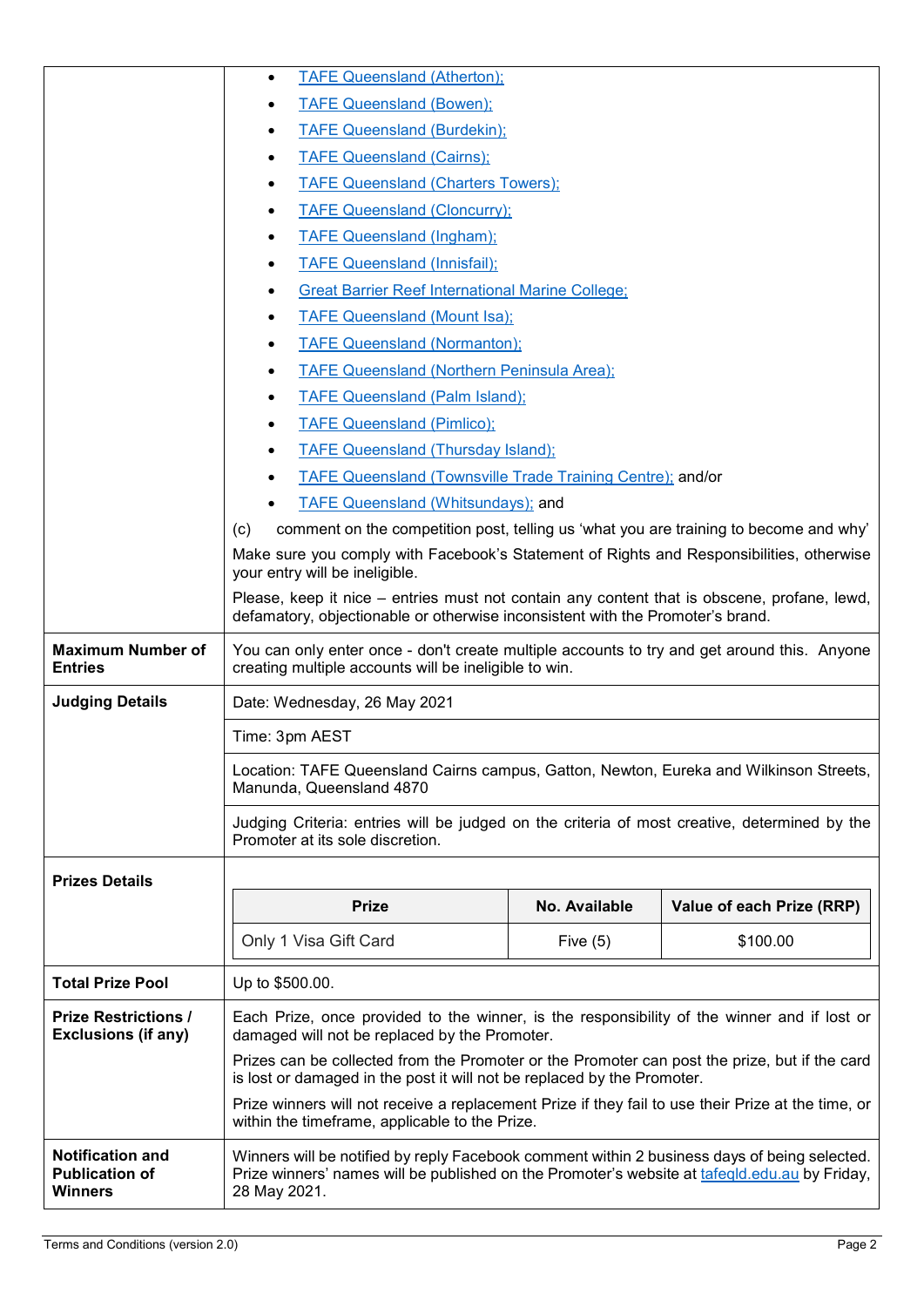|                                                                    | <b>TAFE Queensland (Atherton);</b><br>$\bullet$                                                                                                                                                               |               |                           |
|--------------------------------------------------------------------|---------------------------------------------------------------------------------------------------------------------------------------------------------------------------------------------------------------|---------------|---------------------------|
|                                                                    | <b>TAFE Queensland (Bowen);</b>                                                                                                                                                                               |               |                           |
|                                                                    | <b>TAFE Queensland (Burdekin);</b>                                                                                                                                                                            |               |                           |
|                                                                    | <b>TAFE Queensland (Cairns);</b><br>$\bullet$                                                                                                                                                                 |               |                           |
|                                                                    | <b>TAFE Queensland (Charters Towers):</b>                                                                                                                                                                     |               |                           |
|                                                                    | <b>TAFE Queensland (Cloncurry);</b><br>٠                                                                                                                                                                      |               |                           |
|                                                                    | <b>TAFE Queensland (Ingham);</b><br>٠                                                                                                                                                                         |               |                           |
|                                                                    | <b>TAFE Queensland (Innisfail);</b><br>$\bullet$                                                                                                                                                              |               |                           |
|                                                                    | <b>Great Barrier Reef International Marine College;</b><br>٠                                                                                                                                                  |               |                           |
|                                                                    | <b>TAFE Queensland (Mount Isa);</b><br>$\bullet$                                                                                                                                                              |               |                           |
|                                                                    | <b>TAFE Queensland (Normanton);</b><br>$\bullet$                                                                                                                                                              |               |                           |
|                                                                    | <b>TAFE Queensland (Northern Peninsula Area);</b>                                                                                                                                                             |               |                           |
|                                                                    | <b>TAFE Queensland (Palm Island);</b><br>$\bullet$                                                                                                                                                            |               |                           |
|                                                                    | <b>TAFE Queensland (Pimlico);</b>                                                                                                                                                                             |               |                           |
|                                                                    | <b>TAFE Queensland (Thursday Island);</b><br>$\bullet$                                                                                                                                                        |               |                           |
|                                                                    | TAFE Queensland (Townsville Trade Training Centre); and/or<br>$\bullet$                                                                                                                                       |               |                           |
|                                                                    | <b>TAFE Queensland (Whitsundays); and</b>                                                                                                                                                                     |               |                           |
|                                                                    | comment on the competition post, telling us 'what you are training to become and why'<br>(c)                                                                                                                  |               |                           |
|                                                                    | Make sure you comply with Facebook's Statement of Rights and Responsibilities, otherwise<br>your entry will be ineligible.                                                                                    |               |                           |
|                                                                    | Please, keep it nice – entries must not contain any content that is obscene, profane, lewd,<br>defamatory, objectionable or otherwise inconsistent with the Promoter's brand.                                 |               |                           |
| <b>Maximum Number of</b><br><b>Entries</b>                         | You can only enter once - don't create multiple accounts to try and get around this. Anyone<br>creating multiple accounts will be ineligible to win.                                                          |               |                           |
| <b>Judging Details</b>                                             | Date: Wednesday, 26 May 2021                                                                                                                                                                                  |               |                           |
|                                                                    | Time: 3pm AEST                                                                                                                                                                                                |               |                           |
|                                                                    | Location: TAFE Queensland Cairns campus, Gatton, Newton, Eureka and Wilkinson Streets,<br>Manunda, Queensland 4870                                                                                            |               |                           |
|                                                                    | Judging Criteria: entries will be judged on the criteria of most creative, determined by the<br>Promoter at its sole discretion.                                                                              |               |                           |
| <b>Prizes Details</b>                                              |                                                                                                                                                                                                               |               |                           |
|                                                                    | <b>Prize</b>                                                                                                                                                                                                  | No. Available | Value of each Prize (RRP) |
|                                                                    | Only 1 Visa Gift Card                                                                                                                                                                                         | Five $(5)$    | \$100.00                  |
| <b>Total Prize Pool</b>                                            | Up to \$500.00.                                                                                                                                                                                               |               |                           |
| <b>Prize Restrictions /</b>                                        | Each Prize, once provided to the winner, is the responsibility of the winner and if lost or                                                                                                                   |               |                           |
| <b>Exclusions (if any)</b>                                         | damaged will not be replaced by the Promoter.                                                                                                                                                                 |               |                           |
|                                                                    | Prizes can be collected from the Promoter or the Promoter can post the prize, but if the card<br>is lost or damaged in the post it will not be replaced by the Promoter.                                      |               |                           |
|                                                                    | Prize winners will not receive a replacement Prize if they fail to use their Prize at the time, or<br>within the timeframe, applicable to the Prize.                                                          |               |                           |
| <b>Notification and</b><br><b>Publication of</b><br><b>Winners</b> | Winners will be notified by reply Facebook comment within 2 business days of being selected.<br>Prize winners' names will be published on the Promoter's website at tafegld.edu.au by Friday,<br>28 May 2021. |               |                           |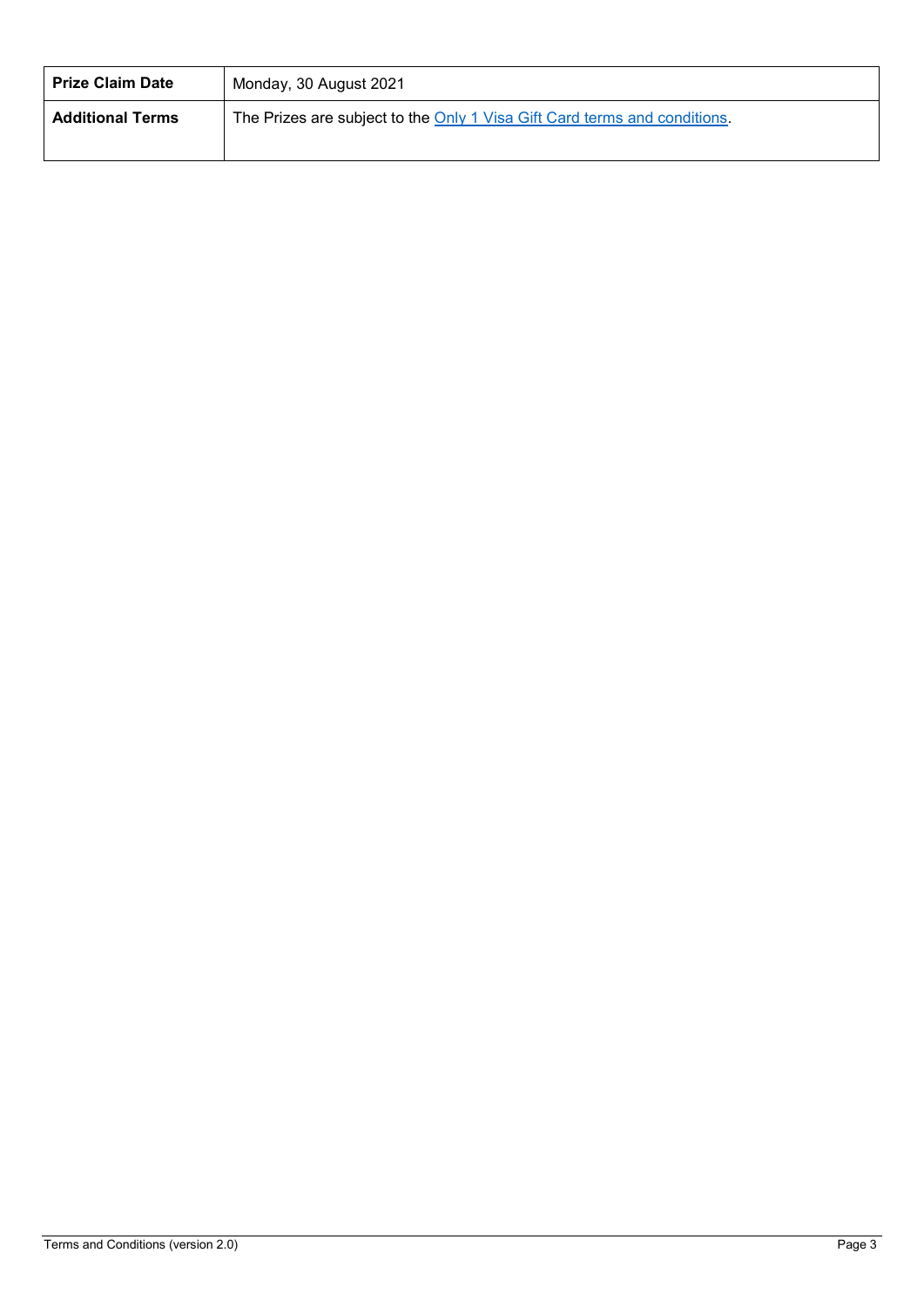| <b>Prize Claim Date</b> | Monday, 30 August 2021                                                    |
|-------------------------|---------------------------------------------------------------------------|
| <b>Additional Terms</b> | The Prizes are subject to the Only 1 Visa Gift Card terms and conditions. |
|                         |                                                                           |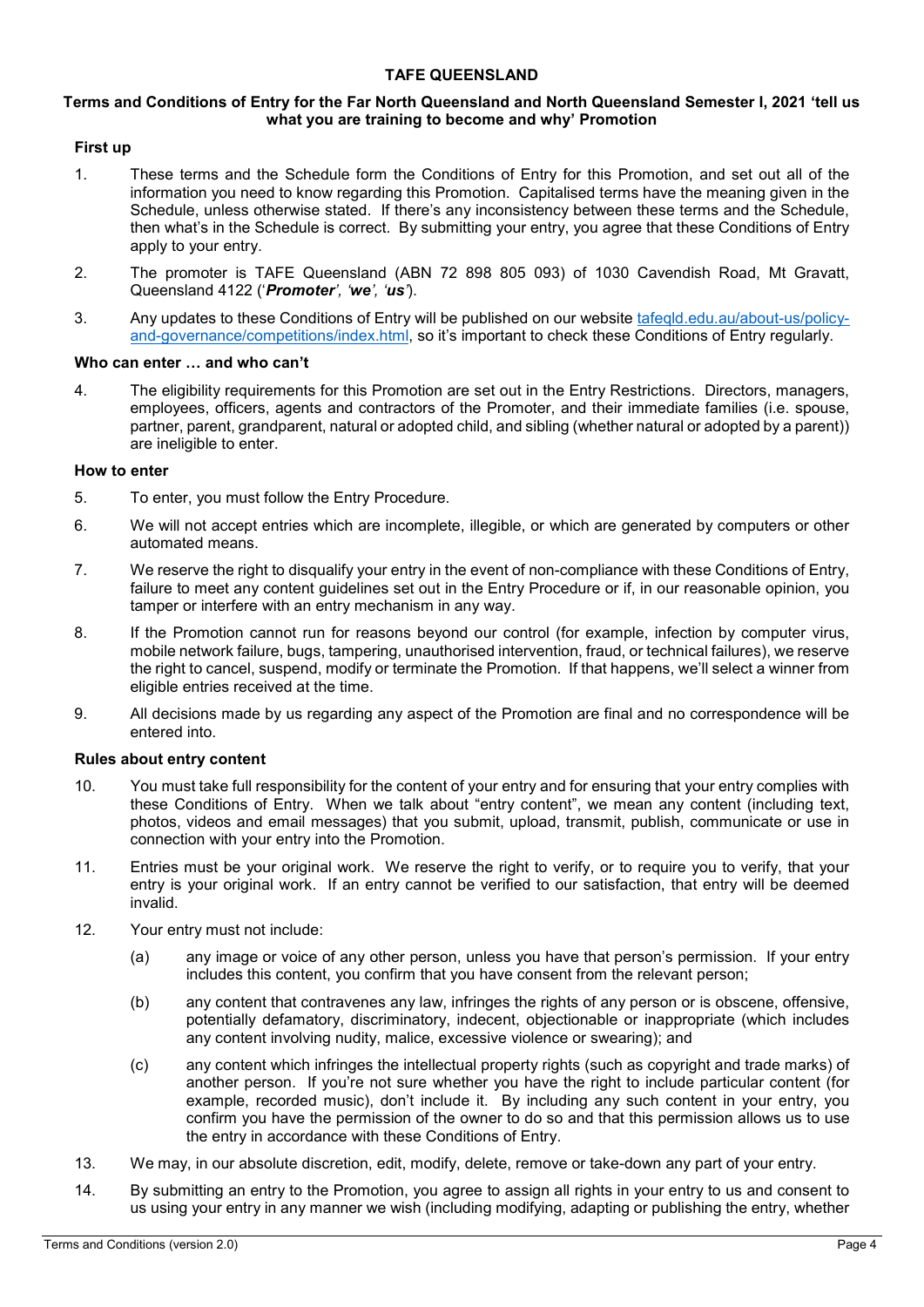## **TAFE QUEENSLAND**

## **Terms and Conditions of Entry for the Far North Queensland and North Queensland Semester I, 2021 'tell us what you are training to become and why' Promotion**

## **First up**

- 1. These terms and the Schedule form the Conditions of Entry for this Promotion, and set out all of the information you need to know regarding this Promotion. Capitalised terms have the meaning given in the Schedule, unless otherwise stated. If there's any inconsistency between these terms and the Schedule, then what's in the Schedule is correct. By submitting your entry, you agree that these Conditions of Entry apply to your entry.
- 2. The promoter is TAFE Queensland (ABN 72 898 805 093) of 1030 Cavendish Road, Mt Gravatt, Queensland 4122 ('*Promoter', 'we', 'us'*).
- 3. Any updates to these Conditions of Entry will be published on our website [tafeqld.edu.au/about-us/policy](https://tafeqld.edu.au/about-us/policy-and-governance/competitions/index.html)[and-governance/competitions/index.html,](https://tafeqld.edu.au/about-us/policy-and-governance/competitions/index.html) so it's important to check these Conditions of Entry regularly.

#### **Who can enter … and who can't**

4. The eligibility requirements for this Promotion are set out in the Entry Restrictions. Directors, managers, employees, officers, agents and contractors of the Promoter, and their immediate families (i.e. spouse, partner, parent, grandparent, natural or adopted child, and sibling (whether natural or adopted by a parent)) are ineligible to enter.

#### **How to enter**

- 5. To enter, you must follow the Entry Procedure.
- 6. We will not accept entries which are incomplete, illegible, or which are generated by computers or other automated means.
- 7. We reserve the right to disqualify your entry in the event of non-compliance with these Conditions of Entry, failure to meet any content guidelines set out in the Entry Procedure or if, in our reasonable opinion, you tamper or interfere with an entry mechanism in any way.
- 8. If the Promotion cannot run for reasons beyond our control (for example, infection by computer virus, mobile network failure, bugs, tampering, unauthorised intervention, fraud, or technical failures), we reserve the right to cancel, suspend, modify or terminate the Promotion. If that happens, we'll select a winner from eligible entries received at the time.
- 9. All decisions made by us regarding any aspect of the Promotion are final and no correspondence will be entered into.

#### **Rules about entry content**

- 10. You must take full responsibility for the content of your entry and for ensuring that your entry complies with these Conditions of Entry. When we talk about "entry content", we mean any content (including text, photos, videos and email messages) that you submit, upload, transmit, publish, communicate or use in connection with your entry into the Promotion.
- 11. Entries must be your original work. We reserve the right to verify, or to require you to verify, that your entry is your original work. If an entry cannot be verified to our satisfaction, that entry will be deemed invalid.
- 12. Your entry must not include:
	- (a) any image or voice of any other person, unless you have that person's permission. If your entry includes this content, you confirm that you have consent from the relevant person;
	- (b) any content that contravenes any law, infringes the rights of any person or is obscene, offensive, potentially defamatory, discriminatory, indecent, objectionable or inappropriate (which includes any content involving nudity, malice, excessive violence or swearing); and
	- (c) any content which infringes the intellectual property rights (such as copyright and trade marks) of another person. If you're not sure whether you have the right to include particular content (for example, recorded music), don't include it. By including any such content in your entry, you confirm you have the permission of the owner to do so and that this permission allows us to use the entry in accordance with these Conditions of Entry.
- 13. We may, in our absolute discretion, edit, modify, delete, remove or take-down any part of your entry.
- 14. By submitting an entry to the Promotion, you agree to assign all rights in your entry to us and consent to us using your entry in any manner we wish (including modifying, adapting or publishing the entry, whether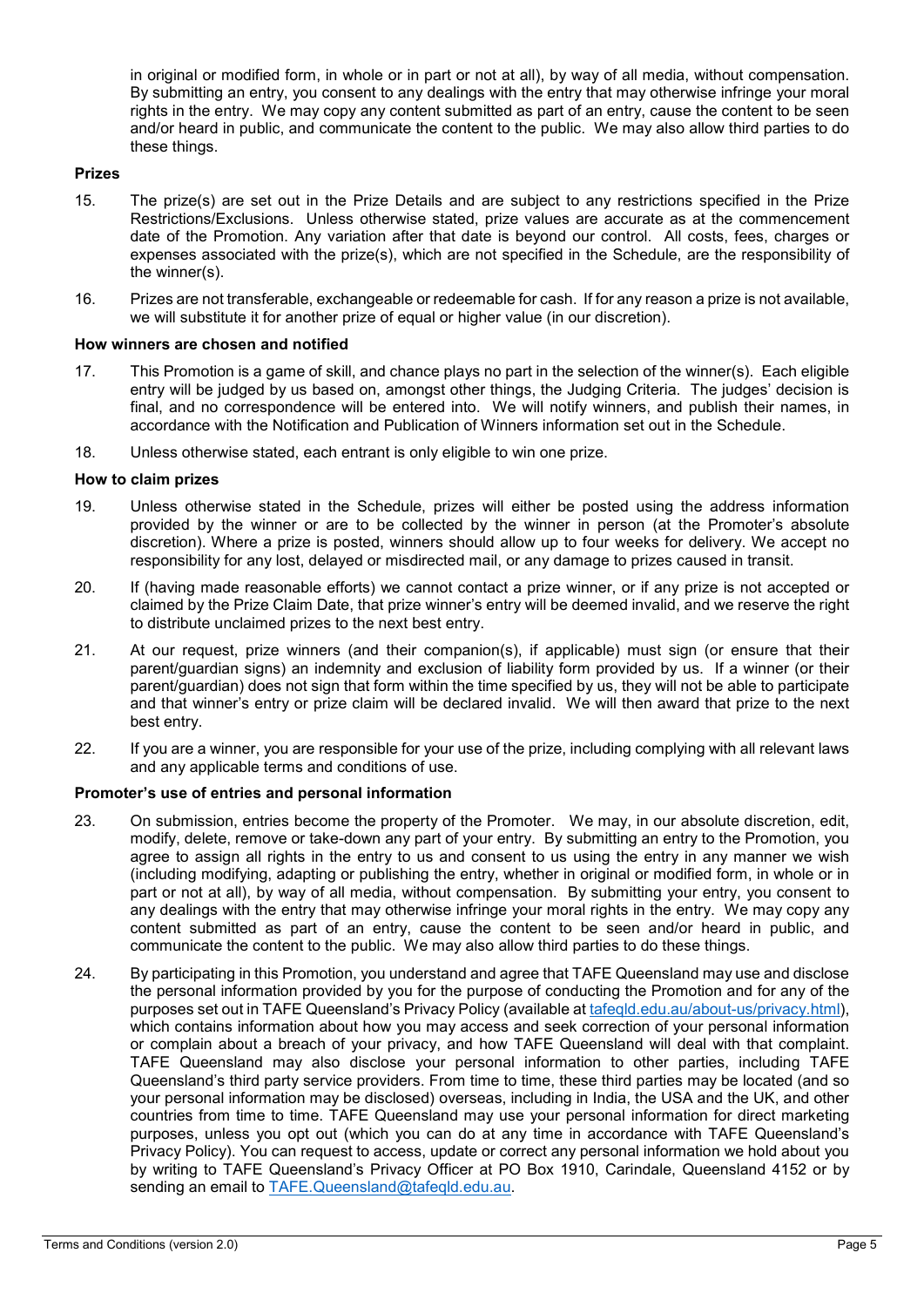in original or modified form, in whole or in part or not at all), by way of all media, without compensation. By submitting an entry, you consent to any dealings with the entry that may otherwise infringe your moral rights in the entry. We may copy any content submitted as part of an entry, cause the content to be seen and/or heard in public, and communicate the content to the public. We may also allow third parties to do these things.

## **Prizes**

- 15. The prize(s) are set out in the Prize Details and are subject to any restrictions specified in the Prize Restrictions/Exclusions. Unless otherwise stated, prize values are accurate as at the commencement date of the Promotion. Any variation after that date is beyond our control. All costs, fees, charges or expenses associated with the prize(s), which are not specified in the Schedule, are the responsibility of the winner(s).
- 16. Prizes are not transferable, exchangeable or redeemable for cash. If for any reason a prize is not available, we will substitute it for another prize of equal or higher value (in our discretion).

#### **How winners are chosen and notified**

- 17. This Promotion is a game of skill, and chance plays no part in the selection of the winner(s). Each eligible entry will be judged by us based on, amongst other things, the Judging Criteria. The judges' decision is final, and no correspondence will be entered into. We will notify winners, and publish their names, in accordance with the Notification and Publication of Winners information set out in the Schedule.
- 18. Unless otherwise stated, each entrant is only eligible to win one prize.

#### **How to claim prizes**

- 19. Unless otherwise stated in the Schedule, prizes will either be posted using the address information provided by the winner or are to be collected by the winner in person (at the Promoter's absolute discretion). Where a prize is posted, winners should allow up to four weeks for delivery. We accept no responsibility for any lost, delayed or misdirected mail, or any damage to prizes caused in transit.
- 20. If (having made reasonable efforts) we cannot contact a prize winner, or if any prize is not accepted or claimed by the Prize Claim Date, that prize winner's entry will be deemed invalid, and we reserve the right to distribute unclaimed prizes to the next best entry.
- 21. At our request, prize winners (and their companion(s), if applicable) must sign (or ensure that their parent/guardian signs) an indemnity and exclusion of liability form provided by us. If a winner (or their parent/guardian) does not sign that form within the time specified by us, they will not be able to participate and that winner's entry or prize claim will be declared invalid. We will then award that prize to the next best entry.
- 22. If you are a winner, you are responsible for your use of the prize, including complying with all relevant laws and any applicable terms and conditions of use.

#### **Promoter's use of entries and personal information**

- 23. On submission, entries become the property of the Promoter. We may, in our absolute discretion, edit, modify, delete, remove or take-down any part of your entry. By submitting an entry to the Promotion, you agree to assign all rights in the entry to us and consent to us using the entry in any manner we wish (including modifying, adapting or publishing the entry, whether in original or modified form, in whole or in part or not at all), by way of all media, without compensation. By submitting your entry, you consent to any dealings with the entry that may otherwise infringe your moral rights in the entry. We may copy any content submitted as part of an entry, cause the content to be seen and/or heard in public, and communicate the content to the public. We may also allow third parties to do these things.
- 24. By participating in this Promotion, you understand and agree that TAFE Queensland may use and disclose the personal information provided by you for the purpose of conducting the Promotion and for any of the purposes set out in TAFE Queensland's Privacy Policy (available at [tafeqld.edu.au/about-us/privacy.html\)](http://tafeqld.edu.au/about-us/privacy.html), which contains information about how you may access and seek correction of your personal information or complain about a breach of your privacy, and how TAFE Queensland will deal with that complaint. TAFE Queensland may also disclose your personal information to other parties, including TAFE Queensland's third party service providers. From time to time, these third parties may be located (and so your personal information may be disclosed) overseas, including in India, the USA and the UK, and other countries from time to time. TAFE Queensland may use your personal information for direct marketing purposes, unless you opt out (which you can do at any time in accordance with TAFE Queensland's Privacy Policy). You can request to access, update or correct any personal information we hold about you by writing to TAFE Queensland's Privacy Officer at PO Box 1910, Carindale, Queensland 4152 or by sending an email to [TAFE.Queensland@tafeqld.edu.au.](mailto:TAFE.Queensland@tafeqld.edu.au)